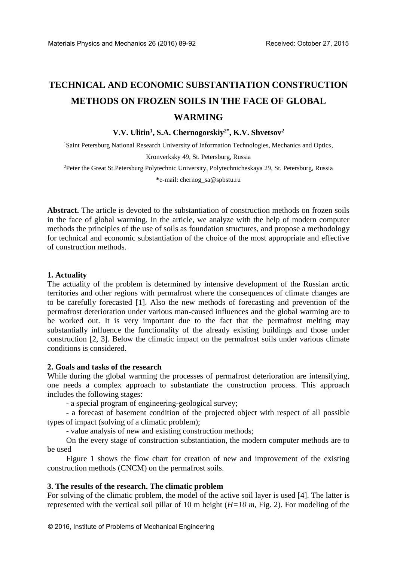# **TECHNICAL AND ECONOMIC SUBSTANTIATION CONSTRUCTION METHODS ON FROZEN SOILS IN THE FACE OF GLOBAL WARMING**

## **V.V. Ulitin<sup>1</sup> , S.A. Chernogorskiy2\* , K.V. Shvetsov<sup>2</sup>**

<sup>1</sup>Saint Petersburg National Research University of Information Technologies, Mechanics and Optics, Kronverksky 49, St. Petersburg, Russia

<sup>2</sup>Peter the Great St.Petersburg Polytechnic University, Polytechnicheskaya 29, St. Petersburg, Russia

**\***[e-mail: chernog\\_sa@spbstu.ru](mailto:*e-mail:%20chernog_sa@spbstu.ru)

**Abstract.** The article is devoted to the substantiation of construction methods on frozen soils in the face of global warming. In the article, we analyze with the help of modern computer methods the principles of the use of soils as foundation structures, and propose a methodology for technical and economic substantiation of the choice of the most appropriate and effective of construction methods.

## **1. Actuality**

The actuality of the problem is determined by intensive development of the Russian arctic territories and other regions with permafrost where the consequences of climate changes are to be carefully forecasted [1]. Also the new methods of forecasting and prevention of the permafrost deterioration under various man-caused influences and the global warming are to be worked out. It is very important due to the fact that the permafrost melting may substantially influence the functionality of the already existing buildings and those under construction [2, 3]. Below the climatic impact on the permafrost soils under various climate conditions is considered.

## **2. Goals and tasks of the research**

While during the global warming the processes of permafrost deterioration are intensifying, one needs a complex approach to substantiate the construction process. This approach includes the following stages:

- a special program of engineering-geological survey;

- a forecast of basement condition of the projected object with respect of all possible types of impact (solving of a climatic problem);

- value analysis of new and existing construction methods;

On the every stage of construction substantiation, the modern computer methods are to be used

Figure 1 shows the flow chart for creation of new and improvement of the existing construction methods (CNCM) on the permafrost soils.

## **3. The results of the research. The climatic problem**

For solving of the climatic problem, the model of the active soil layer is used [4]. The latter is represented with the vertical soil pillar of 10 m height (*H=10 m*, Fig. 2). For modeling of the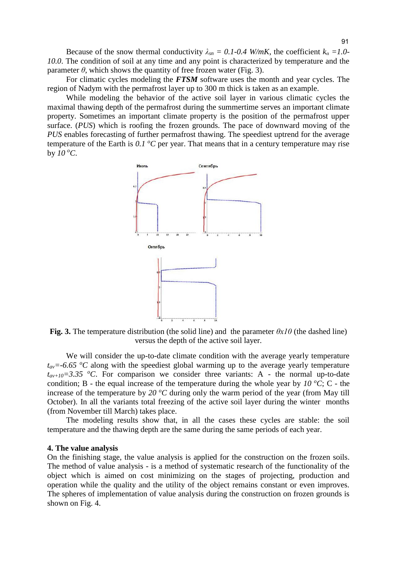Because of the snow thermal conductivity  $\lambda_{sn} = 0.1$ -0.4 W/mK, the coefficient  $k_a = 1.0$ -*10.0*. The condition of soil at any time and any point is characterized by temperature and the parameter  $\theta$ , which shows the quantity of free frozen water (Fig. 3).

For climatic cycles modeling the *FTSM* software uses the month and year cycles. The region of Nadym with the permafrost layer up to 300 m thick is taken as an example.

While modeling the behavior of the active soil layer in various climatic cycles the maximal thawing depth of the permafrost during the summertime serves an important climate property. Sometimes an important climate property is the position of the permafrost upper surface. (*PUS*) which is roofing the frozen grounds. The pace of downward moving of the *PUS* enables forecasting of further permafrost thawing. The speediest uptrend for the average temperature of the Earth is 0.1 °C per year. That means that in a century temperature may rise by  $10^{\circ}$ C.



**Fig. 3.** The temperature distribution (the solid line) and the parameter  $\theta x l \theta$  (the dashed line) versus the depth of the active soil layer.

We will consider the up-to-date climate condition with the average yearly temperature  $t_{av}$  =-6.65  $^{\circ}$ C along with the speediest global warming up to the average yearly temperature  $t_{av+10} = 3.35$  <sup>o</sup>C. For comparison we consider three variants: A - the normal up-to-date condition; B - the equal increase of the temperature during the whole year by  $10\degree C$ ; C - the increase of the temperature by 20  $^{\circ}$ C during only the warm period of the year (from May till October). In all the variants total freezing of the active soil layer during the winter months (from November till March) takes place.

The modeling results show that, in all the cases these cycles are stable: the soil temperature and the thawing depth are the same during the same periods of each year.

### **4. The value analysis**

On the finishing stage, the value analysis is applied for the construction on the frozen soils. The method of value analysis - is a method of systematic research of the functionality of the object which is aimed on cost minimizing on the stages of projecting, production and operation while the quality and the utility of the object remains constant or even improves. The spheres of implementation of value analysis during the construction on frozen grounds is shown on Fig. 4.